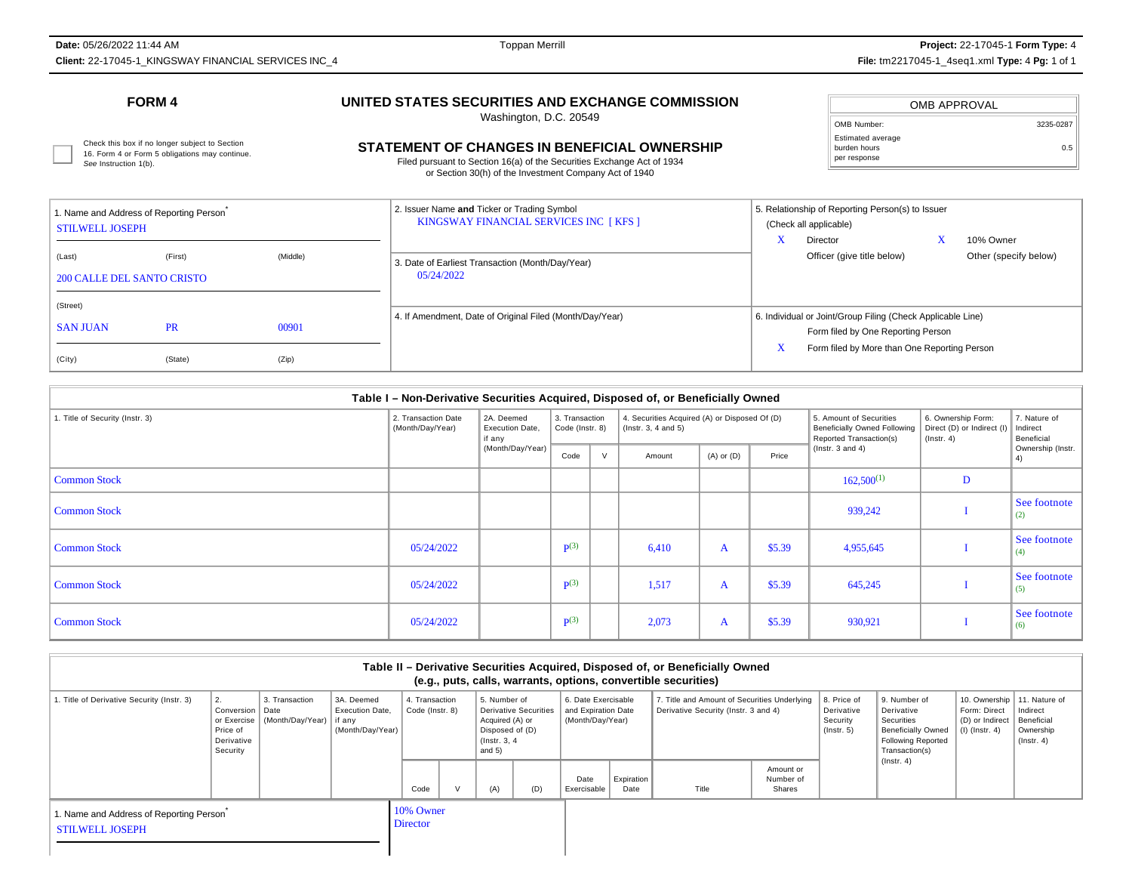**Date:** 05/26/2022 11:44 AM**Client:** 22-17045-1\_KINGSWAY FINANCIAL SERVICES INC\_4

See Instruction 1(b).

# **UNITED STATES SECURITIES AND EXCHANGE COMMISSION**

Washington, D.C. 20549

# Check this box if no longer subject to Section<br>16. Form 4 or Form 5 obligations may continue. **CHANGES IN BENEFICIAL OWNERSHIP** Durden hours builden hours and continue.

Filed pursuant to Section 16(a) of the Securities Exchange Act of 1934or Section 30(h) of the Investment Company Act of 1940

|                                                   | OMB APPROVAL |           |
|---------------------------------------------------|--------------|-----------|
| OMB Number:                                       |              | 3235-0287 |
| Estimated average<br>burden hours<br>per response |              | 0.5       |

| Name and Address of Reporting Person<br><b>STILWELL JOSEPH</b> |                      |                | 2. Issuer Name and Ticker or Trading Symbol<br>KINGSWAY FINANCIAL SERVICES INC [KFS ] | 5. Relationship of Reporting Person(s) to Issuer<br>(Check all applicable)<br>10% Owner<br>Director                                               |  |  |  |
|----------------------------------------------------------------|----------------------|----------------|---------------------------------------------------------------------------------------|---------------------------------------------------------------------------------------------------------------------------------------------------|--|--|--|
| (Last)<br><b>200 CALLE DEL SANTO CRISTO</b>                    | (First)              | (Middle)       | 3. Date of Earliest Transaction (Month/Day/Year)<br>05/24/2022                        | Officer (give title below)<br>Other (specify below)                                                                                               |  |  |  |
| (Street)<br><b>SAN JUAN</b><br>(City)                          | <b>PR</b><br>(State) | 00901<br>(Zip) | 4. If Amendment, Date of Original Filed (Month/Day/Year)                              | 6. Individual or Joint/Group Filing (Check Applicable Line)<br>Form filed by One Reporting Person<br>Form filed by More than One Reporting Person |  |  |  |

| Table I - Non-Derivative Securities Acquired, Disposed of, or Beneficially Owned |                                         |                                         |                                   |   |                                                                            |                |        |                                                                                           |                                                                     |                                        |
|----------------------------------------------------------------------------------|-----------------------------------------|-----------------------------------------|-----------------------------------|---|----------------------------------------------------------------------------|----------------|--------|-------------------------------------------------------------------------------------------|---------------------------------------------------------------------|----------------------------------------|
| . Title of Security (Instr. 3)                                                   | 2. Transaction Date<br>(Month/Day/Year) | 2A. Deemed<br>Execution Date,<br>if any | 3. Transaction<br>Code (Instr. 8) |   | 4. Securities Acquired (A) or Disposed Of (D)<br>$($ lnstr. 3, 4 and 5 $)$ |                |        | 5. Amount of Securities<br><b>Beneficially Owned Following</b><br>Reported Transaction(s) | 6. Ownership Form:<br>Direct (D) or Indirect (I<br>$($ lnstr. 4 $)$ | 7. Nature of<br>Indirect<br>Beneficial |
|                                                                                  |                                         | (Month/Day/Year)                        | Code                              | V | Amount                                                                     | $(A)$ or $(D)$ | Price  | ( $lnstr. 3 and 4$ )                                                                      |                                                                     | Ownership (Instr.<br>4)                |
| <b>Common Stock</b>                                                              |                                         |                                         |                                   |   |                                                                            |                |        | $162,500^{(1)}$                                                                           | D                                                                   |                                        |
| <b>Common Stock</b>                                                              |                                         |                                         |                                   |   |                                                                            |                |        | 939,242                                                                                   |                                                                     | See footnote<br>$\vert$ (2)            |
| <b>Common Stock</b>                                                              | 05/24/2022                              |                                         | $\mathbf{p}(3)$                   |   | 6,410                                                                      | A              | \$5.39 | 4,955,645                                                                                 |                                                                     | See footnote<br>(4)                    |
| <b>Common Stock</b>                                                              | 05/24/2022                              |                                         | $\mathbf{p}(3)$                   |   | 1,517                                                                      | A              | \$5.39 | 645,245                                                                                   |                                                                     | See footnote<br>(5)                    |
| <b>Common Stock</b>                                                              | 05/24/2022                              |                                         | $\mathbf{p}(3)$                   |   | 2,073                                                                      | $\mathbf{A}$   | \$5.39 | 930,921                                                                                   |                                                                     | See footnote<br>(6)                    |

| Table II - Derivative Securities Acquired, Disposed of, or Beneficially Owned<br>(e.g., puts, calls, warrants, options, convertible securities) |                                                                         |                                            |                                                               |                                   |  |                                                                                 |                              |                                                                |                    |                                                                                      |                                  |                                                           |                                                                                                                                          |                                                                                      |                                                         |
|-------------------------------------------------------------------------------------------------------------------------------------------------|-------------------------------------------------------------------------|--------------------------------------------|---------------------------------------------------------------|-----------------------------------|--|---------------------------------------------------------------------------------|------------------------------|----------------------------------------------------------------|--------------------|--------------------------------------------------------------------------------------|----------------------------------|-----------------------------------------------------------|------------------------------------------------------------------------------------------------------------------------------------------|--------------------------------------------------------------------------------------|---------------------------------------------------------|
| 1. Title of Derivative Security (Instr. 3)                                                                                                      | 2.<br>Conversion  <br>or Exercise<br>Price of<br>Derivative<br>Security | 3. Transaction<br>Date<br>(Month/Day/Year) | 3A. Deemed<br>Execution Date,<br>l if any<br>(Month/Day/Year) | 4. Transaction<br>Code (Instr. 8) |  | 5. Number of<br>Acquired (A) or<br>Disposed of (D)<br>(Instr. 3, 4)<br>and $5)$ | <b>Derivative Securities</b> | 6. Date Exercisable<br>and Expiration Date<br>(Month/Day/Year) |                    | 7. Title and Amount of Securities Underlying<br>Derivative Security (Instr. 3 and 4) |                                  | 8. Price of<br>Derivative<br>Security<br>$($ lnstr. 5 $)$ | 9. Number of<br>Derivative<br>Securities<br><b>Beneficially Owned</b><br><b>Following Reported</b><br>Transaction(s)<br>$($ lnstr. 4 $)$ | 10. Ownership   11. Nature of<br>Form: Direct<br>(D) or Indirect<br>$(l)$ (lnstr. 4) | Indirect<br>Beneficial<br>Ownership<br>$($ lnstr. 4 $)$ |
|                                                                                                                                                 |                                                                         |                                            |                                                               | Code                              |  | (A)                                                                             | (D)                          | Date<br>Exercisable                                            | Expiration<br>Date | Title                                                                                | Amount or<br>Number of<br>Shares |                                                           |                                                                                                                                          |                                                                                      |                                                         |
| 1. Name and Address of Reporting Person<br><b>STILWELL JOSEPH</b>                                                                               |                                                                         |                                            | 10% Owner<br><b>Director</b>                                  |                                   |  |                                                                                 |                              |                                                                |                    |                                                                                      |                                  |                                                           |                                                                                                                                          |                                                                                      |                                                         |

## **FORM 4**

16. Form 4 or Form 5 obligations may continue.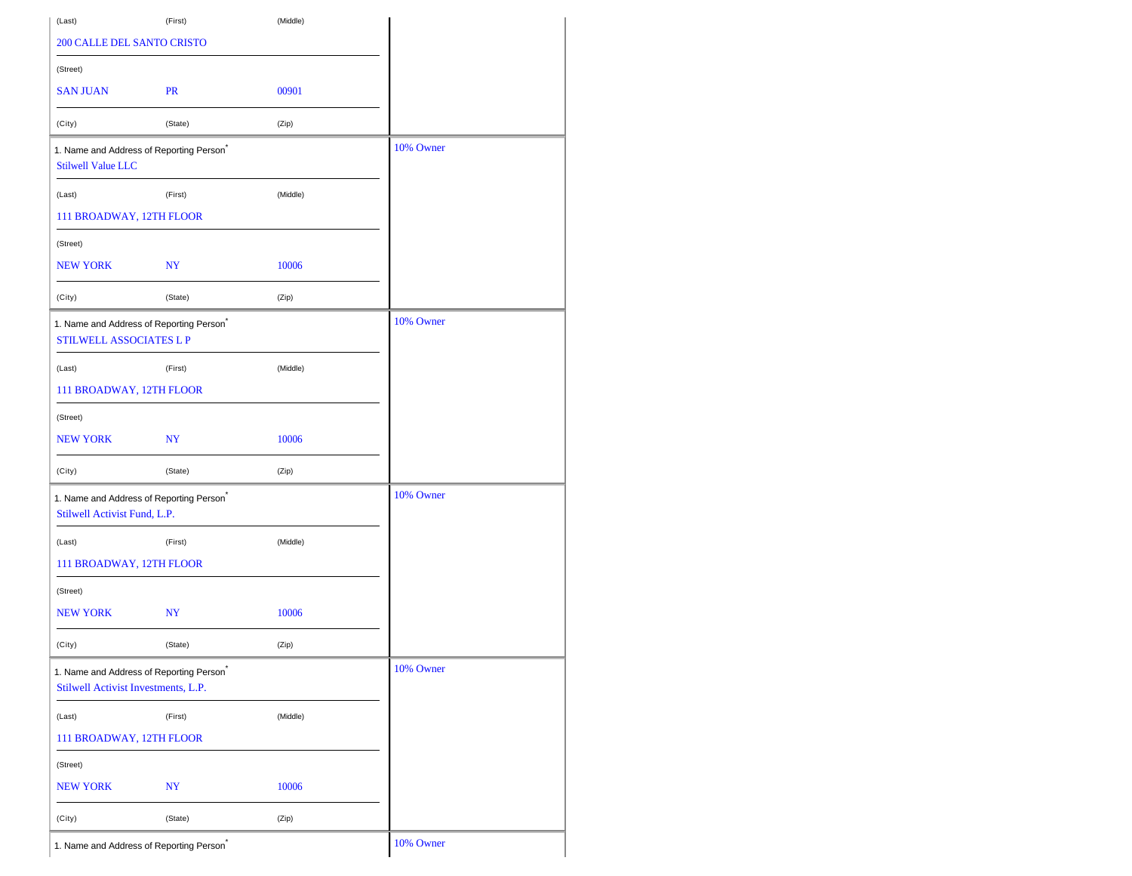| (Last)                              | (First)                                 | (Middle) |           |
|-------------------------------------|-----------------------------------------|----------|-----------|
| <b>200 CALLE DEL SANTO CRISTO</b>   |                                         |          |           |
| (Street)                            |                                         |          |           |
| <b>SAN JUAN</b>                     | <b>PR</b>                               | 00901    |           |
| (City)                              | (State)                                 | (Zip)    |           |
| <b>Stilwell Value LLC</b>           | 1. Name and Address of Reporting Person |          | 10% Owner |
| (Last)                              | (First)                                 | (Middle) |           |
| 111 BROADWAY, 12TH FLOOR            |                                         |          |           |
| (Street)                            |                                         |          |           |
| <b>NEW YORK</b>                     | NY                                      | 10006    |           |
| (City)                              | (State)                                 | (Zip)    |           |
| <b>STILWELL ASSOCIATES L P</b>      | 1. Name and Address of Reporting Person |          | 10% Owner |
| (Last)                              | (First)                                 | (Middle) |           |
| 111 BROADWAY, 12TH FLOOR            |                                         |          |           |
| (Street)                            |                                         |          |           |
| <b>NEW YORK</b>                     | NY                                      | 10006    |           |
| (City)                              | (State)                                 | (Zip)    |           |
| Stilwell Activist Fund, L.P.        | 1. Name and Address of Reporting Person |          | 10% Owner |
| (Last)                              | (First)                                 | (Middle) |           |
| 111 BROADWAY, 12TH FLOOR            |                                         |          |           |
| (Street)                            |                                         |          |           |
| <b>NEW YORK</b>                     | NY                                      | 10006    |           |
| (City)                              | (State)                                 | (Zip)    |           |
| Stilwell Activist Investments, L.P. | 1. Name and Address of Reporting Person |          | 10% Owner |
| (Last)                              | (First)                                 | (Middle) |           |
| 111 BROADWAY, 12TH FLOOR            |                                         |          |           |
| (Street)                            |                                         |          |           |
| <b>NEW YORK</b>                     | NY                                      | 10006    |           |
| (City)                              | (State)                                 | (Zip)    |           |
|                                     | 1. Name and Address of Reporting Person |          | 10% Owner |